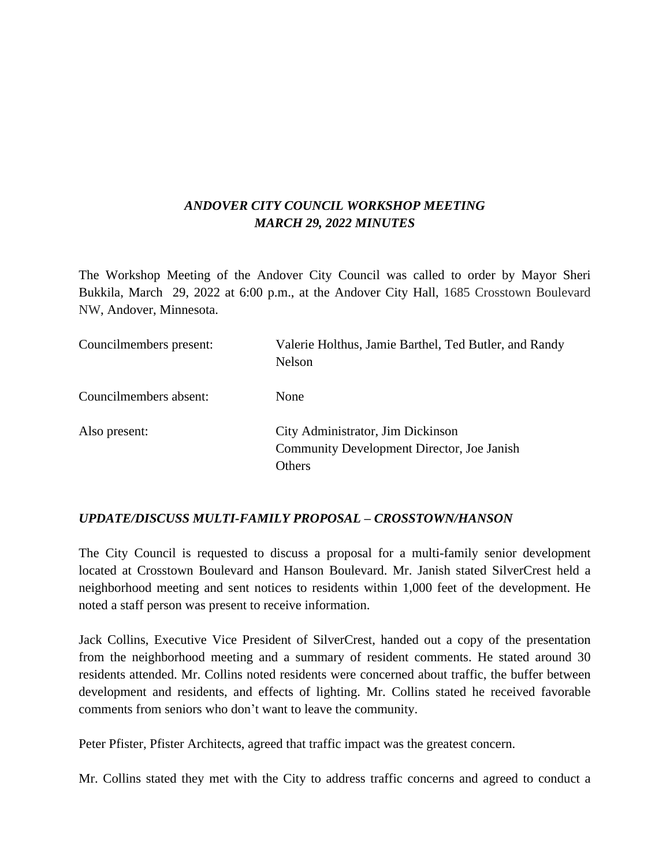## *ANDOVER CITY COUNCIL WORKSHOP MEETING MARCH 29, 2022 MINUTES*

The Workshop Meeting of the Andover City Council was called to order by Mayor Sheri Bukkila, March 29, 2022 at 6:00 p.m., at the Andover City Hall, 1685 Crosstown Boulevard NW, Andover, Minnesota.

| Councilmembers present: | Valerie Holthus, Jamie Barthel, Ted Butler, and Randy<br>Nelson                                  |
|-------------------------|--------------------------------------------------------------------------------------------------|
| Councilmembers absent:  | None                                                                                             |
| Also present:           | City Administrator, Jim Dickinson<br>Community Development Director, Joe Janish<br><b>Others</b> |

### *UPDATE/DISCUSS MULTI-FAMILY PROPOSAL – CROSSTOWN/HANSON*

The City Council is requested to discuss a proposal for a multi-family senior development located at Crosstown Boulevard and Hanson Boulevard. Mr. Janish stated SilverCrest held a neighborhood meeting and sent notices to residents within 1,000 feet of the development. He noted a staff person was present to receive information.

Jack Collins, Executive Vice President of SilverCrest, handed out a copy of the presentation from the neighborhood meeting and a summary of resident comments. He stated around 30 residents attended. Mr. Collins noted residents were concerned about traffic, the buffer between development and residents, and effects of lighting. Mr. Collins stated he received favorable comments from seniors who don't want to leave the community.

Peter Pfister, Pfister Architects, agreed that traffic impact was the greatest concern.

Mr. Collins stated they met with the City to address traffic concerns and agreed to conduct a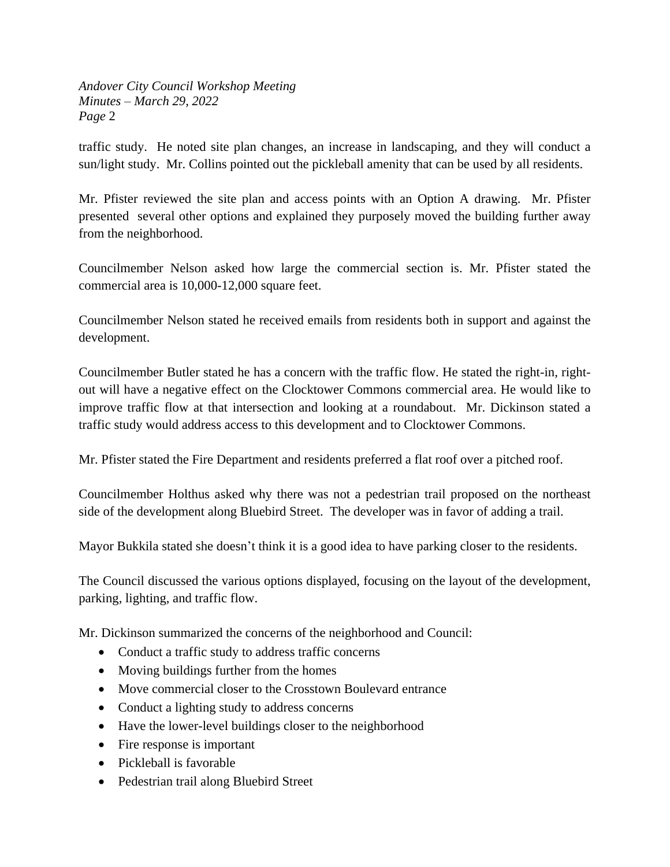traffic study. He noted site plan changes, an increase in landscaping, and they will conduct a sun/light study. Mr. Collins pointed out the pickleball amenity that can be used by all residents.

Mr. Pfister reviewed the site plan and access points with an Option A drawing. Mr. Pfister presented several other options and explained they purposely moved the building further away from the neighborhood.

Councilmember Nelson asked how large the commercial section is. Mr. Pfister stated the commercial area is 10,000-12,000 square feet.

Councilmember Nelson stated he received emails from residents both in support and against the development.

Councilmember Butler stated he has a concern with the traffic flow. He stated the right-in, rightout will have a negative effect on the Clocktower Commons commercial area. He would like to improve traffic flow at that intersection and looking at a roundabout. Mr. Dickinson stated a traffic study would address access to this development and to Clocktower Commons.

Mr. Pfister stated the Fire Department and residents preferred a flat roof over a pitched roof.

Councilmember Holthus asked why there was not a pedestrian trail proposed on the northeast side of the development along Bluebird Street. The developer was in favor of adding a trail.

Mayor Bukkila stated she doesn't think it is a good idea to have parking closer to the residents.

The Council discussed the various options displayed, focusing on the layout of the development, parking, lighting, and traffic flow.

Mr. Dickinson summarized the concerns of the neighborhood and Council:

- Conduct a traffic study to address traffic concerns
- Moving buildings further from the homes
- Move commercial closer to the Crosstown Boulevard entrance
- Conduct a lighting study to address concerns
- Have the lower-level buildings closer to the neighborhood
- Fire response is important
- Pickleball is favorable
- Pedestrian trail along Bluebird Street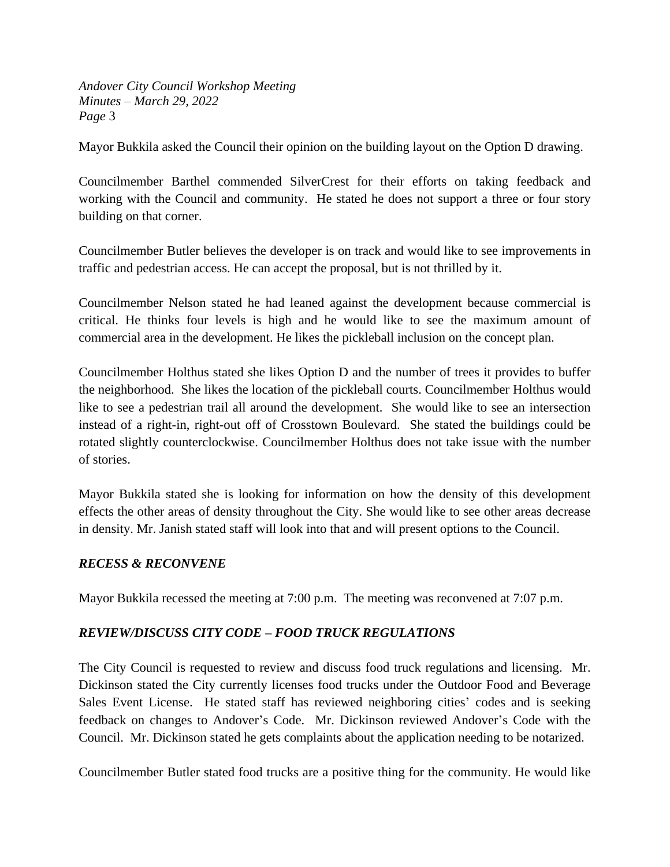Mayor Bukkila asked the Council their opinion on the building layout on the Option D drawing.

Councilmember Barthel commended SilverCrest for their efforts on taking feedback and working with the Council and community. He stated he does not support a three or four story building on that corner.

Councilmember Butler believes the developer is on track and would like to see improvements in traffic and pedestrian access. He can accept the proposal, but is not thrilled by it.

Councilmember Nelson stated he had leaned against the development because commercial is critical. He thinks four levels is high and he would like to see the maximum amount of commercial area in the development. He likes the pickleball inclusion on the concept plan.

Councilmember Holthus stated she likes Option D and the number of trees it provides to buffer the neighborhood. She likes the location of the pickleball courts. Councilmember Holthus would like to see a pedestrian trail all around the development. She would like to see an intersection instead of a right-in, right-out off of Crosstown Boulevard. She stated the buildings could be rotated slightly counterclockwise. Councilmember Holthus does not take issue with the number of stories.

Mayor Bukkila stated she is looking for information on how the density of this development effects the other areas of density throughout the City. She would like to see other areas decrease in density. Mr. Janish stated staff will look into that and will present options to the Council.

### *RECESS & RECONVENE*

Mayor Bukkila recessed the meeting at 7:00 p.m. The meeting was reconvened at 7:07 p.m.

# *REVIEW/DISCUSS CITY CODE – FOOD TRUCK REGULATIONS*

The City Council is requested to review and discuss food truck regulations and licensing. Mr. Dickinson stated the City currently licenses food trucks under the Outdoor Food and Beverage Sales Event License. He stated staff has reviewed neighboring cities' codes and is seeking feedback on changes to Andover's Code. Mr. Dickinson reviewed Andover's Code with the Council. Mr. Dickinson stated he gets complaints about the application needing to be notarized.

Councilmember Butler stated food trucks are a positive thing for the community. He would like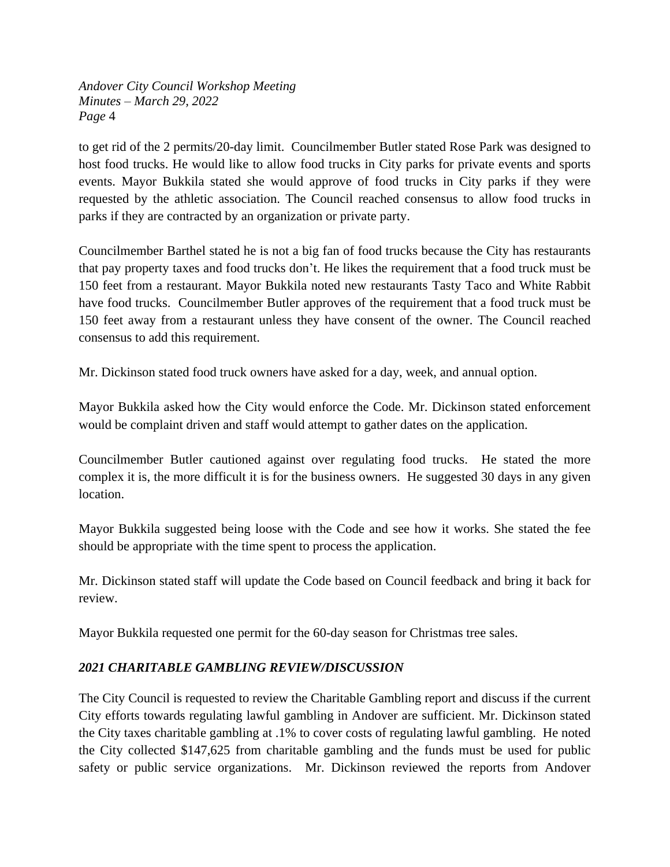to get rid of the 2 permits/20-day limit. Councilmember Butler stated Rose Park was designed to host food trucks. He would like to allow food trucks in City parks for private events and sports events. Mayor Bukkila stated she would approve of food trucks in City parks if they were requested by the athletic association. The Council reached consensus to allow food trucks in parks if they are contracted by an organization or private party.

Councilmember Barthel stated he is not a big fan of food trucks because the City has restaurants that pay property taxes and food trucks don't. He likes the requirement that a food truck must be 150 feet from a restaurant. Mayor Bukkila noted new restaurants Tasty Taco and White Rabbit have food trucks. Councilmember Butler approves of the requirement that a food truck must be 150 feet away from a restaurant unless they have consent of the owner. The Council reached consensus to add this requirement.

Mr. Dickinson stated food truck owners have asked for a day, week, and annual option.

Mayor Bukkila asked how the City would enforce the Code. Mr. Dickinson stated enforcement would be complaint driven and staff would attempt to gather dates on the application.

Councilmember Butler cautioned against over regulating food trucks. He stated the more complex it is, the more difficult it is for the business owners. He suggested 30 days in any given location.

Mayor Bukkila suggested being loose with the Code and see how it works. She stated the fee should be appropriate with the time spent to process the application.

Mr. Dickinson stated staff will update the Code based on Council feedback and bring it back for review.

Mayor Bukkila requested one permit for the 60-day season for Christmas tree sales.

# *2021 CHARITABLE GAMBLING REVIEW/DISCUSSION*

The City Council is requested to review the Charitable Gambling report and discuss if the current City efforts towards regulating lawful gambling in Andover are sufficient. Mr. Dickinson stated the City taxes charitable gambling at .1% to cover costs of regulating lawful gambling. He noted the City collected \$147,625 from charitable gambling and the funds must be used for public safety or public service organizations. Mr. Dickinson reviewed the reports from Andover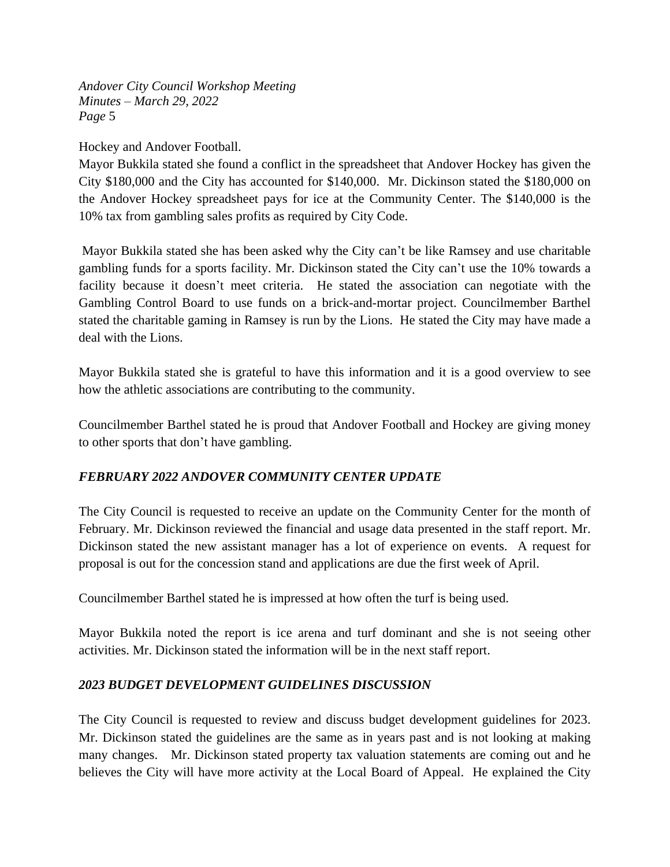Hockey and Andover Football.

Mayor Bukkila stated she found a conflict in the spreadsheet that Andover Hockey has given the City \$180,000 and the City has accounted for \$140,000. Mr. Dickinson stated the \$180,000 on the Andover Hockey spreadsheet pays for ice at the Community Center. The \$140,000 is the 10% tax from gambling sales profits as required by City Code.

Mayor Bukkila stated she has been asked why the City can't be like Ramsey and use charitable gambling funds for a sports facility. Mr. Dickinson stated the City can't use the 10% towards a facility because it doesn't meet criteria. He stated the association can negotiate with the Gambling Control Board to use funds on a brick-and-mortar project. Councilmember Barthel stated the charitable gaming in Ramsey is run by the Lions. He stated the City may have made a deal with the Lions.

Mayor Bukkila stated she is grateful to have this information and it is a good overview to see how the athletic associations are contributing to the community.

Councilmember Barthel stated he is proud that Andover Football and Hockey are giving money to other sports that don't have gambling.

# *FEBRUARY 2022 ANDOVER COMMUNITY CENTER UPDATE*

The City Council is requested to receive an update on the Community Center for the month of February. Mr. Dickinson reviewed the financial and usage data presented in the staff report. Mr. Dickinson stated the new assistant manager has a lot of experience on events. A request for proposal is out for the concession stand and applications are due the first week of April.

Councilmember Barthel stated he is impressed at how often the turf is being used.

Mayor Bukkila noted the report is ice arena and turf dominant and she is not seeing other activities. Mr. Dickinson stated the information will be in the next staff report.

# *2023 BUDGET DEVELOPMENT GUIDELINES DISCUSSION*

The City Council is requested to review and discuss budget development guidelines for 2023. Mr. Dickinson stated the guidelines are the same as in years past and is not looking at making many changes. Mr. Dickinson stated property tax valuation statements are coming out and he believes the City will have more activity at the Local Board of Appeal. He explained the City